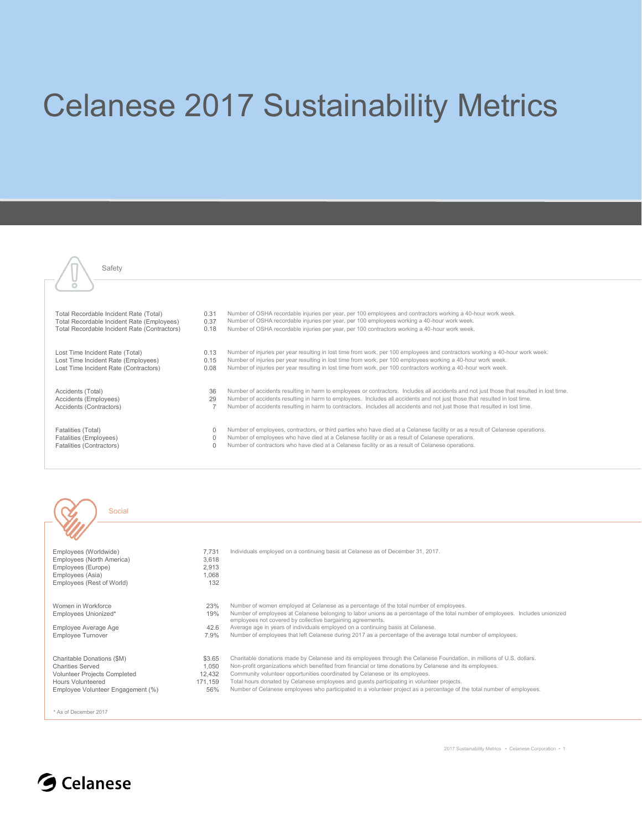## Celanese 2017 Sustainability Metrics

| Total Recordable Incident Rate (Total)                                                                          | 0.31                 | Number of OSHA recordable injuries per year, per 100 employees and contractors working a 40-hour work week.                                                                                                                                                                                                                                                    |
|-----------------------------------------------------------------------------------------------------------------|----------------------|----------------------------------------------------------------------------------------------------------------------------------------------------------------------------------------------------------------------------------------------------------------------------------------------------------------------------------------------------------------|
| Total Recordable Incident Rate (Employees)                                                                      | 0.37                 | Number of OSHA recordable injuries per year, per 100 employees working a 40-hour work week.                                                                                                                                                                                                                                                                    |
| Total Recordable Incident Rate (Contractors)                                                                    | 0.18                 | Number of OSHA recordable injuries per year, per 100 contractors working a 40-hour work week.                                                                                                                                                                                                                                                                  |
| Lost Time Incident Rate (Total)<br>Lost Time Incident Rate (Employees)<br>Lost Time Incident Rate (Contractors) | 0.13<br>0.15<br>0.08 | Number of injuries per year resulting in lost time from work, per 100 employees and contractors working a 40-hour work week.<br>Number of injuries per year resulting in lost time from work, per 100 employees working a 40-hour work week.<br>Number of injuries per year resulting in lost time from work, per 100 contractors working a 40-hour work week. |
| Accidents (Total)                                                                                               | 36                   | Number of accidents resulting in harm to employees or contractors. Includes all accidents and not just those that resulted in lost time.                                                                                                                                                                                                                       |
| Accidents (Employees)                                                                                           | 29                   | Number of accidents resulting in harm to employees. Includes all accidents and not just those that resulted in lost time.                                                                                                                                                                                                                                      |
| Accidents (Contractors)                                                                                         |                      | Number of accidents resulting in harm to contractors. Includes all accidents and not just those that resulted in lost time.                                                                                                                                                                                                                                    |
| Fatalities (Total)<br>Fatalities (Employees)<br>Fatalities (Contractors)                                        | $\Omega$<br>$\Omega$ | Number of employees, contractors, or third parties who have died at a Celanese facility or as a result of Celanese operations.<br>Number of employees who have died at a Celanese facility or as a result of Celanese operations.<br>Number of contractors who have died at a Celanese facility or as a result of Celanese operations.                         |
|                                                                                                                 |                      |                                                                                                                                                                                                                                                                                                                                                                |





Safety

 $\sqrt{n}$